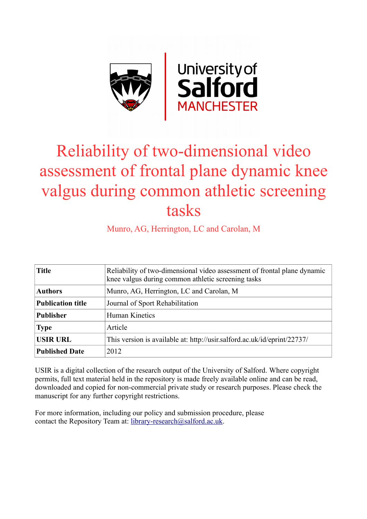

# Reliability of two-dimensional video assessment of frontal plane dynamic knee valgus during common athletic screening tasks

Munro, AG, Herrington, LC and Carolan, M

| <b>Title</b>             | Reliability of two-dimensional video assessment of frontal plane dynamic<br>knee valgus during common athletic screening tasks |  |  |  |
|--------------------------|--------------------------------------------------------------------------------------------------------------------------------|--|--|--|
| <b>Authors</b>           | Munro, AG, Herrington, LC and Carolan, M                                                                                       |  |  |  |
| <b>Publication title</b> | Journal of Sport Rehabilitation                                                                                                |  |  |  |
| <b>Publisher</b>         | Human Kinetics                                                                                                                 |  |  |  |
| <b>Type</b>              | Article                                                                                                                        |  |  |  |
| <b>USIR URL</b>          | This version is available at: http://usir.salford.ac.uk/id/eprint/22737/                                                       |  |  |  |
| <b>Published Date</b>    | 2012                                                                                                                           |  |  |  |

USIR is a digital collection of the research output of the University of Salford. Where copyright permits, full text material held in the repository is made freely available online and can be read, downloaded and copied for non-commercial private study or research purposes. Please check the manuscript for any further copyright restrictions.

For more information, including our policy and submission procedure, please contact the Repository Team at: [library-research@salford.ac.uk.](mailto:library-research@salford.ac.uk)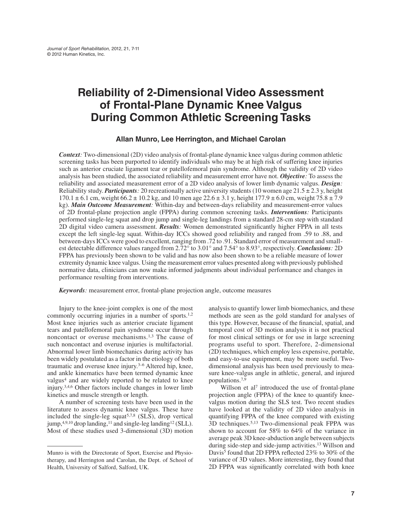# **Reliability of 2-Dimensional Video Assessment of Frontal-Plane Dynamic Knee Valgus During Common Athletic Screening Tasks**

#### **Allan Munro, Lee Herrington, and Michael Carolan**

*Context:* Two-dimensional (2D) video analysis of frontal-plane dynamic knee valgus during common athletic screening tasks has been purported to identify individuals who may be at high risk of suffering knee injuries such as anterior cruciate ligament tear or patellofemoral pain syndrome. Although the validity of 2D video analysis has been studied, the associated reliability and measurement error have not. *Objective:* To assess the reliability and associated measurement error of a 2D video analysis of lower limb dynamic valgus. *Design:* Reliability study. *Participants*: 20 recreationally active university students (10 women age  $21.5 \pm 2.3$  y, height  $170.1 \pm 6.1$  cm, weight  $66.2 \pm 10.2$  kg, and 10 men age  $22.6 \pm 3.1$  y, height  $177.9 \pm 6.0$  cm, weight  $75.8 \pm 7.9$ kg). *Main Outcome Measurement:* Within-day and between-days reliability and measurement-error values of 2D frontal-plane projection angle (FPPA) during common screening tasks. *Interventions:* Participants performed single-leg squat and drop jump and single-leg landings from a standard 28-cm step with standard 2D digital video camera assessment. *Results:* Women demonstrated significantly higher FPPA in all tests except the left single-leg squat. Within-day ICCs showed good reliability and ranged from .59 to .88, and between-days ICCs were good to excellent, ranging from .72 to .91. Standard error of measurement and smallest detectable difference values ranged from 2.72° to 3.01° and 7.54° to 8.93°, respectively. *Conclusions:* 2D FPPA has previously been shown to be valid and has now also been shown to be a reliable measure of lower extremity dynamic knee valgus. Using the measurement error values presented along with previously published normative data, clinicians can now make informed judgments about individual performance and changes in performance resulting from interventions.

*Keywords:* measurement error, frontal-plane projection angle, outcome measures

Injury to the knee-joint complex is one of the most commonly occurring injuries in a number of sports.<sup>1,2</sup> Most knee injuries such as anterior cruciate ligament tears and patellofemoral pain syndrome occur through noncontact or overuse mechanisms.<sup>1,3</sup> The cause of such noncontact and overuse injuries is multifactorial. Abnormal lower limb biomechanics during activity has been widely postulated as a factor in the etiology of both traumatic and overuse knee injury.3–6 Altered hip, knee, and ankle kinematics have been termed dynamic knee valgus4 and are widely reported to be related to knee injury.3,4,6 Other factors include changes in lower limb kinetics and muscle strength or length.

A number of screening tests have been used in the literature to assess dynamic knee valgus. These have included the single-leg squat<sup>5,7,8</sup> (SLS), drop vertical jump,  $4,9,10$  drop landing,  $11$  and single-leg landing  $12$  (SLL). Most of these studies used 3-dimensional (3D) motion

analysis to quantify lower limb biomechanics, and these methods are seen as the gold standard for analyses of this type. However, because of the financial, spatial, and temporal cost of 3D motion analysis it is not practical for most clinical settings or for use in large screening programs useful to sport. Therefore, 2-dimensional (2D) techniques, which employ less expensive, portable, and easy-to-use equipment, may be more useful. Twodimensional analysis has been used previously to measure knee-valgus angle in athletic, general, and injured populations.7,9

Willson et al<sup>7</sup> introduced the use of frontal-plane projection angle (FPPA) of the knee to quantify kneevalgus motion during the SLS test. Two recent studies have looked at the validity of 2D video analysis in quantifying FPPA of the knee compared with existing 3D techniques.5,13 Two-dimensional peak FPPA was shown to account for 58% to 64% of the variance in average peak 3D knee-abduction angle between subjects during side-step and side-jump activities.13 Willson and Davis<sup>5</sup> found that 2D FPPA reflected 23% to 30% of the variance of 3D values. More interesting, they found that 2D FPPA was significantly correlated with both knee

Munro is with the Directorate of Sport, Exercise and Physiotherapy, and Herrington and Carolan, the Dept. of School of Health, University of Salford, Salford, UK.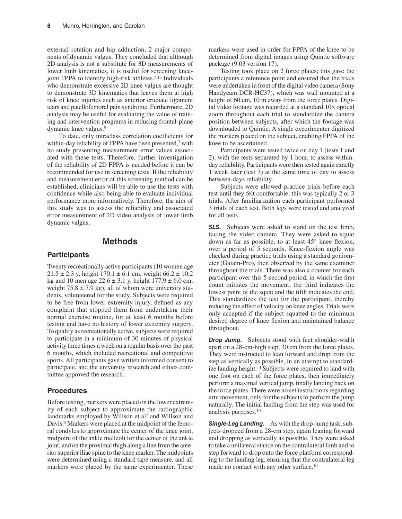external rotation and hip adduction, 2 major components of dynamic valgus. They concluded that although 2D analysis is not a substitute for 3D measurements of lower limb kinematics, it is useful for screening kneejoint FPPA to identify high-risk athletes.<sup>5,13</sup> Individuals who demonstrate excessive 2D knee valgus are thought to demonstrate 3D kinematics that leaves them at high risk of knee injuries such as anterior cruciate ligament tears and patellofemoral pain syndrome. Furthermore, 2D analysis may be useful for evaluating the value of training and intervention programs in reducing frontal-plane dynamic knee valgus.9

To date, only intraclass correlation coefficients for within-day reliability of FPPA have been presented,<sup>7</sup> with no study presenting measurement error values associated with these tests. Therefore, further investigation of the reliability of 2D FPPA is needed before it can be recommended for use in screening tests. If the reliability and measurement error of this screening method can be established, clinicians will be able to use the tests with confidence while also being able to evaluate individual performance more informatively. Therefore, the aim of this study was to assess the reliability and associated error measurement of 2D video analysis of lower limb dynamic valgus.

## **Methods**

#### **Participants**

Twenty recreationally active participants (10 women age  $21.5 \pm 2.3$  y, height  $170.1 \pm 6.1$  cm, weight  $66.2 \pm 10.2$ kg and 10 men age  $22.6 \pm 3.1$  y, height  $177.9 \pm 6.0$  cm, weight  $75.8 \pm 7.9$  kg), all of whom were university students, volunteered for the study. Subjects were required to be free from lower extremity injury, defined as any complaint that stopped them from undertaking their normal exercise routine, for at least 6 months before testing and have no history of lower extremity surgery. To qualify as recreationally active, subjects were required to participate in a minimum of 30 minutes of physical activity three times a week on a regular basis over the past 6 months, which included recreational and competitive sports. All participants gave written informed consent to participate, and the university research and ethics committee approved the research.

#### **Procedures**

Before testing, markers were placed on the lower extremity of each subject to approximate the radiographic landmarks employed by Willson et al<sup>7</sup> and Willson and Davis.<sup>5</sup> Markers were placed at the midpoint of the femoral condyles to approximate the center of the knee joint, midpoint of the ankle malleoli for the center of the ankle joint, and on the proximal thigh along a line from the anterior superior iliac spine to the knee marker. The midpoints were determined using a standard tape measure, and all markers were placed by the same experimenter. These

markers were used in order for FPPA of the knee to be determined from digital images using Quintic software package (9.03 version 17).

Testing took place on 2 force plates; this gave the participants a reference point and ensured that the trials were undertaken in front of the digital video camera (Sony Handycam DCR-HC37), which was wall mounted at a height of 60 cm, 10 m away from the force plates. Digital video footage was recorded at a standard 10× optical zoom throughout each trial to standardize the camera position between subjects, after which the footage was downloaded to Quintic. A single experimenter digitized the markers placed on the subject, enabling FPPA of the knee to be ascertained.

Participants were tested twice on day 1 (tests 1 and 2), with the tests separated by 1 hour, to assess withinday reliability. Participants were then tested again exactly 1 week later (test 3) at the same time of day to assess between-days reliability.

Subjects were allowed practice trials before each test until they felt comfortable; this was typically 2 or 3 trials. After familiarization each participant performed 3 trials of each test. Both legs were tested and analyzed for all tests.

**SLS.** Subjects were asked to stand on the test limb, facing the video camera. They were asked to squat down as far as possible, to at least 45° knee flexion, over a period of 5 seconds. Knee-flexion angle was checked during practice trials using a standard goniometer (Gaiam-Pro), then observed by the same examiner throughout the trials. There was also a counter for each participant over this 5-second period, in which the first count initiates the movement, the third indicates the lowest point of the squat and the fifth indicates the end. This standardizes the test for the participant, thereby reducing the effect of velocity on knee angles. Trials were only accepted if the subject squatted to the minimum desired degree of knee flexion and maintained balance throughout.

*Drop Jump.* Subjects stood with feet shoulder-width apart on a 28-cm-high step, 30 cm from the force plates. They were instructed to lean forward and drop from the step as vertically as possible, in an attempt to standardize landing height.<sup>14</sup> Subjects were required to land with one foot on each of the force plates, then immediately perform a maximal vertical jump, finally landing back on the force plates. There were no set instructions regarding arm movement, only for the subjects to perform the jump naturally. The initial landing from the step was used for analysis purposes.10

*Single-Leg Landing.* As with the drop-jump task, subjects dropped from a 28-cm step, again leaning forward and dropping as vertically as possible. They were asked to take a unilateral stance on the contralateral limb and to step forward to drop onto the force platform corresponding to the landing leg, ensuring that the contralateral leg made no contact with any other surface.<sup>10</sup>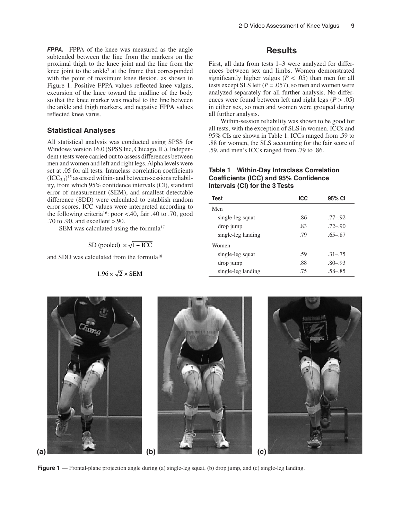*FPPA.* FPPA of the knee was measured as the angle subtended between the line from the markers on the proximal thigh to the knee joint and the line from the knee joint to the ankle<sup>7</sup> at the frame that corresponded with the point of maximum knee flexion, as shown in Figure 1. Positive FPPA values reflected knee valgus, excursion of the knee toward the midline of the body so that the knee marker was medial to the line between the ankle and thigh markers, and negative FPPA values reflected knee varus.

#### **Statistical Analyses**

All statistical analysis was conducted using SPSS for Windows version 16.0 (SPSS Inc, Chicago, IL). Independent *t* tests were carried out to assess differences between men and women and left and right legs. Alpha levels were set at .05 for all tests. Intraclass correlation coefficients  $(ICC_{3,1})^{15}$  assessed within- and between-sessions reliability, from which 95% confidence intervals (CI), standard error of measurement (SEM), and smallest detectable difference (SDD) were calculated to establish random error scores. ICC values were interpreted according to the following criteria<sup>16</sup>: poor <.40, fair .40 to .70, good .70 to .90, and excellent >.90.

SEM was calculated using the formula<sup>17</sup>

$$
SD (pooled) \times \sqrt{1 - ICC}
$$

and SDD was calculated from the formula18

$$
1.96 \times \sqrt{2} \times \text{SEM}
$$

#### **Results**

First, all data from tests 1–3 were analyzed for differences between sex and limbs. Women demonstrated significantly higher valgus ( $P < .05$ ) than men for all tests except SLS left  $(P = .057)$ , so men and women were analyzed separately for all further analysis. No differences were found between left and right legs ( $P > .05$ ) in either sex, so men and women were grouped during all further analysis.

Within-session reliability was shown to be good for all tests, with the exception of SLS in women. ICCs and 95% CIs are shown in Table 1. ICCs ranged from .59 to .88 for women, the SLS accounting for the fair score of .59, and men's ICCs ranged from .79 to .86.

#### **Table 1 Within-Day Intraclass Correlation Coefficients (ICC) and 95% Confidence Intervals (CI) for the 3 Tests**

| <b>Test</b>        | <b>ICC</b> | 95% CI      |  |
|--------------------|------------|-------------|--|
| Men                |            |             |  |
| single-leg squat   | .86        | $.77 - .92$ |  |
| drop jump          | .83        | $.72 - .90$ |  |
| single-leg landing | .79        | $.65 - .87$ |  |
| Women              |            |             |  |
| single-leg squat   | .59        | $.31 - .75$ |  |
| drop jump          | .88        | $.80 - .93$ |  |
| single-leg landing | .75        | $.58 - .85$ |  |
|                    |            |             |  |



**Figure 1** — Frontal-plane projection angle during (a) single-leg squat, (b) drop jump, and (c) single-leg landing.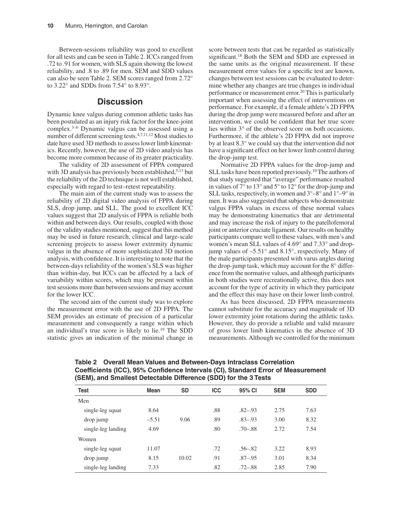Between-sessions reliability was good to excellent for all tests and can be seen in Table 2. ICCs ranged from .72 to .91 for women, with SLS again showing the lowest reliability, and .8 to .89 for men. SEM and SDD values can also be seen Table 2. SEM scores ranged from 2.72° to 3.22° and SDDs from 7.54° to 8.93°.

## **Discussion**

Dynamic knee valgus during common athletic tasks has been postulated as an injury risk factor for the knee-joint complex.3–6 Dynamic valgus can be assessed using a number of different screening tests.4,7,11,12 Most studies to date have used 3D methods to assess lower limb kinematics. Recently, however, the use of 2D video analysis has become more common because of its greater practicality.

The validity of 2D assessment of FPPA compared with 3D analysis has previously been established,<sup>5,13</sup> but the reliability of the 2D technique is not well established, especially with regard to test–retest repeatability.

The main aim of the current study was to assess the reliability of 2D digital video analysis of FPPA during SLS, drop jump, and SLL. The good to excellent ICC values suggest that 2D analysis of FPPA is reliable both within and between days. Our results, coupled with those of the validity studies mentioned, suggest that this method may be used in future research, clinical and large-scale screening projects to assess lower extremity dynamic valgus in the absence of more sophisticated 3D motion analysis, with confidence. It is interesting to note that the between-days reliability of the women's SLS was higher than within-day, but ICCs can be affected by a lack of variability within scores, which may be present within test sessions more than between sessions and may account for the lower ICC.

The second aim of the current study was to explore the measurement error with the use of 2D FPPA. The SEM provides an estimate of precision of a particular measurement and consequently a range within which an individual's true score is likely to lie.19 The SDD statistic gives an indication of the minimal change in

score between tests that can be regarded as statistically significant.18 Both the SEM and SDD are expressed in the same units as the original measurement. If these measurement error values for a specific test are known, changes between test sessions can be evaluated to determine whether any changes are true changes in individual performance or measurement error.<sup>20</sup> This is particularly important when assessing the effect of interventions on performance. For example, if a female athlete's 2D FPPA during the drop jump were measured before and after an intervention, we could be confident that her true score lies within 3° of the observed score on both occasions. Furthermore, if the athlete's 2D FPPA did not improve by at least 8.3° we could say that the intervention did not have a significant effect on her lower limb control during the drop-jump test.

Normative 2D FPPA values for the drop-jump and SLL tasks have been reported previously.<sup>10</sup> The authors of that study suggested that "average" performance resulted in values of 7° to 13° and 5° to 12° for the drop-jump and SLL tasks, respectively, in women and  $3^{\circ}-8^{\circ}$  and  $1^{\circ}-9^{\circ}$  in men. It was also suggested that subjects who demonstrate valgus FPPA values in excess of these normal values may be demonstrating kinematics that are detrimental and may increase the risk of injury to the patellofemoral joint or anterior cruciate ligament. Our results on healthy participants compare well to these values, with men's and women's mean SLL values of 4.69° and 7.33° and dropjump values of –5.51° and 8.15°, respectively. Many of the male participants presented with varus angles during the drop-jump task, which may account for the 8° difference from the normative values, and although participants in both studies were recreationally active, this does not account for the type of activity in which they participate and the effect this may have on their lower limb control.

As has been discussed, 2D FPPA measurements cannot substitute for the accuracy and magnitude of 3D lower extremity joint rotations during the athletic tasks. However, they do provide a reliable and valid measure of gross lower limb kinematics in the absence of 3D measurements. Although we controlled for the minimum

| <b>Test</b>        | <b>Mean</b> | <b>SD</b> | <b>ICC</b> | 95% CI      | <b>SEM</b> | <b>SDD</b> |  |  |
|--------------------|-------------|-----------|------------|-------------|------------|------------|--|--|
| Men                |             |           |            |             |            |            |  |  |
| single-leg squat   | 8.64        |           | .88        | $.82 - .93$ | 2.75       | 7.63       |  |  |
| drop jump          | $-5.51$     | 9.06      | .89        | $.83 - .93$ | 3.00       | 8.32       |  |  |
| single-leg landing | 4.69        |           | .80        | $.70 - .88$ | 2.72       | 7.54       |  |  |
| Women              |             |           |            |             |            |            |  |  |
| single-leg squat   | 11.07       |           | .72        | $.56 - .82$ | 3.22       | 8.93       |  |  |
| drop jump          | 8.15        | 10.02     | .91        | $.87 - .95$ | 3.01       | 8.34       |  |  |
| single-leg landing | 7.33        |           | .82        | $.72 - .88$ | 2.85       | 7.90       |  |  |

**Table 2 Overall Mean Values and Between-Days Intraclass Correlation Coefficients (ICC), 95% Confidence Intervals (CI), Standard Error of Measurement (SEM), and Smallest Detectable Difference (SDD) for the 3 Tests**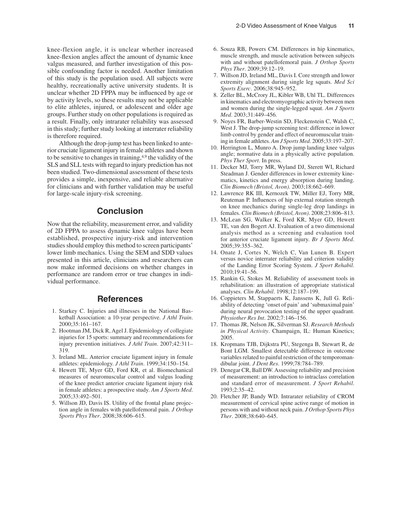knee-flexion angle, it is unclear whether increased knee-flexion angles affect the amount of dynamic knee valgus measured, and further investigation of this possible confounding factor is needed. Another limitation of this study is the population used. All subjects were healthy, recreationally active university students. It is unclear whether 2D FPPA may be influenced by age or by activity levels, so these results may not be applicable to elite athletes, injured, or adolescent and older age groups. Further study on other populations is required as a result. Finally, only intrarater reliability was assessed in this study; further study looking at interrater reliability is therefore required.

Although the drop-jump test has been linked to anterior cruciate ligament injury in female athletes and shown to be sensitive to changes in training,  $4.9$  the validity of the SLS and SLL tests with regard to injury prediction has not been studied. Two-dimensional assessment of these tests provides a simple, inexpensive, and reliable alternative for clinicians and with further validation may be useful for large-scale injury-risk screening.

# **Conclusion**

Now that the reliability, measurement error, and validity of 2D FPPA to assess dynamic knee valgus have been established, prospective injury-risk and intervention studies should employ this method to screen participants' lower limb mechanics. Using the SEM and SDD values presented in this article, clinicians and researchers can now make informed decisions on whether changes in performance are random error or true changes in individual performance.

#### **References**

- 1. Starkey C. Injuries and illnesses in the National Basketball Association: a 10-year perspective. *J Athl Train*. 2000;35:161–167.
- 2. Hootman JM, Dick R, Agel J. Epidemiology of collegiate injuries for 15 sports: summary and recommendations for injury prevention initiatives. *J Athl Train*. 2007;42:311– 319.
- 3. Ireland ML. Anterior cruciate ligament injury in female athletes: epidemiology. *J Athl Train*. 1999;34:150–154.
- 4. Hewett TE, Myer GD, Ford KR, et al. Biomechanical measures of neuromuscular control and valgus loading of the knee predict anterior cruciate ligament injury risk in female athletes: a prospective study. *Am J Sports Med*. 2005;33:492–501.
- 5. Willson JD, Davis IS. Utility of the frontal plane projection angle in females with patellofemoral pain. *J Orthop Sports Phys Ther*. 2008;38:606–615.
- 6. Souza RB, Powers CM. Differences in hip kinematics, muscle strength, and muscle activation between subjects with and without patellofemoral pain. *J Orthop Sports Phys Ther*. 2009;39:12–19.
- 7. Willson JD, Ireland ML, Davis I. Core strength and lower extremity alignment during single leg squats. *Med Sci Sports Exerc*. 2006;38:945–952.
- 8. Zeller BL, McCrory JL, Kibler WB, Uhl TL. Differences in kinematics and electromyographic activity between men and women during the single-legged squat. *Am J Sports Med*. 2003;31:449–456.
- 9. Noyes FR, Barber-Westin SD, Fleckenstein C, Walsh C, West J. The drop-jump screening test: difference in lower limb control by gender and effect of neuromuscular training in female athletes. *Am J Sports Med*. 2005;33:197–207.
- 10. Herrington L, Munro A. Drop jump landing knee valgus angle; normative data in a physically active population. *Phys Ther Sport*. In press.
- 11. Decker MJ, Torry MR, Wyland DJ, Sterett WI, Richard Steadman J. Gender differences in lower extremity kinematics, kinetics and energy absorption during landing. *Clin Biomech (Bristol, Avon)*. 2003;18:662–669.
- 12. Lawrence RK III, Kernozek TW, Miller EJ, Torry MR, Reuteman P. Influences of hip external rotation strength on knee mechanics during single-leg drop landings in females. *Clin Biomech (Bristol, Avon)*. 2008;23:806–813.
- 13. McLean SG, Walker K, Ford KR, Myer GD, Hewett TE, van den Bogert AJ. Evaluation of a two dimensional analysis method as a screening and evaluation tool for anterior cruciate ligament injury. *Br J Sports Med*. 2005;39:355–362.
- 14. Onate J, Cortes N, Welch C, Van Lunen B. Expert versus novice interrater reliability and criterion validity of the Landing Error Scoring System. *J Sport Rehabil*. 2010;19:41–56.
- 15. Rankin G, Stokes M. Reliability of assessment tools in rehabilitation: an illustration of appropriate statistical analyses. *Clin Rehabil*. 1998;12:187–199.
- 16. Coppieters M, Stappaerts K, Janssens K, Jull G. Reliability of detecting 'onset of pain' and 'submaximal pain' during neural provocation testing of the upper quadrant. *Physiother Res Int*. 2002;7:146–156.
- 17. Thomas JR, Nelson JK, Silverman SJ. *Research Methods in Physical Activity*. Champaign, IL: Human Kinetics; 2005.
- 18. Kropmans TJB, Dijkstra PU, Stegenga B, Stewart R, de Bont LGM. Smallest detectable difference in outcome variables related to painful restriction of the temporomandibular joint. *J Dent Res*. 1999;78:784–789.
- 19. Denegar CR, Ball DW. Assessing reliability and precision of measurement: an introduction to intraclass correlation and standard error of measurement. *J Sport Rehabil*. 1993;2:35–42.
- 20. Fletcher JP, Bandy WD. Intrarater reliability of CROM measurement of cervical spine active range of motion in persons with and without neck pain. *J Orthop Sports Phys Ther*. 2008;38:640–645.